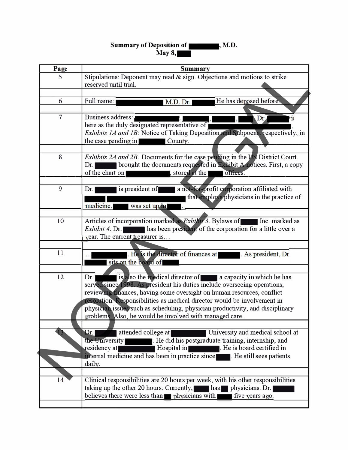## **Summary of Deposition of May8,- , M.D.**

| Page | Summary                                                                                           |
|------|---------------------------------------------------------------------------------------------------|
| 5    | Stipulations: Deponent may read & sign. Objections and motions to strike<br>reserved until trial. |
|      |                                                                                                   |
| 6    | He has deposed before.<br>Full name:<br>M.D. Dr.                                                  |
| 7    | Business address:<br>Dr.<br>18                                                                    |
|      | here as the duly designated representative of                                                     |
|      | Exhibits 1A and 1B: Notice of Taking Deposition and Subpoena, respectively, in                    |
|      | the case pending in<br>County.                                                                    |
|      |                                                                                                   |
| 8    | Exhibits 2A and 2B: Documents for the case pending in the US District Court.                      |
|      | brought the documents requested in Exhibit A notices. First, a copy<br>Dr.                        |
|      | , stored at the  <br>of the chart on<br>offices.                                                  |
|      |                                                                                                   |
| 9    | is president of<br>a not-for-profit corporation affiliated with<br>Dr.                            |
|      | that employs physicians in the practice of                                                        |
|      | medicine.<br>was set up in                                                                        |
|      |                                                                                                   |
| 10   | Articles of incorporation marked as <i>Exhibit</i> 3. Bylaws of<br>Inc. marked as                 |
|      | has been president of the corporation for a little over a<br>Exhibit 4. Dr.                       |
|      | $\sqrt{2}$ ear. The current treasurer is                                                          |
|      |                                                                                                   |
| 11   | He is the director of finances at As president, Dr                                                |
|      | sits on the board of                                                                              |
|      |                                                                                                   |
| 12   | is also the medical director of a capacity in which he has<br>Dr.                                 |
|      | served since 1998. As president his duties include overseeing operations,                         |
|      | reviewing finances, having some oversight on human resources, conflict                            |
|      | resolution. Responsibilities as medical director would be involvement in                          |
|      | physician issues such as scheduling, physician productivity, and disciplinary                     |
|      | problems. Also, he would be involved with managed care                                            |
|      |                                                                                                   |
|      | attended college at<br>University and medical school at<br>Dr. I                                  |
|      | . He did his postgraduate training, internship, and<br>the University                             |
|      | <b>Example 1</b> . He is board certified in<br>Hospital in<br>residency at∣                       |
|      | internal medicine and has been in practice since Fig. He still sees patients                      |
|      | daily.                                                                                            |
|      |                                                                                                   |
| 14   | Clinical responsibilities are 20 hours per week, with his other responsibilities                  |
|      | taking up the other 20 hours. Currently,<br>has physicians. Dr.                                   |
|      | believes there were less than physicians with<br>five years ago.                                  |
|      |                                                                                                   |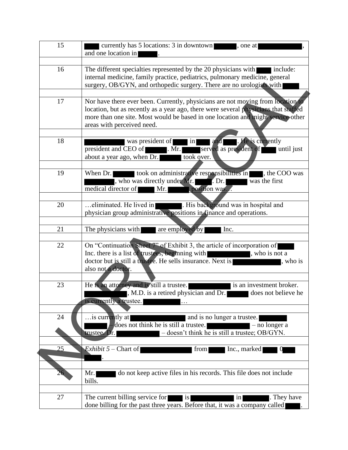| 15 | currently has 5 locations: 3 in downtown<br>one at<br>and one location in                                    |
|----|--------------------------------------------------------------------------------------------------------------|
|    |                                                                                                              |
| 16 | The different specialties represented by the 20 physicians with include:                                     |
|    | internal medicine, family practice, pediatrics, pulmonary medicine, general                                  |
|    | surgery, OB/GYN, and orthopedic surgery. There are no urologists with                                        |
|    |                                                                                                              |
| 17 | Nor have there ever been. Currently, physicians are not moving from location to                              |
|    | location, but as recently as a year ago, there were several physicians that staffed                          |
|    | more than one site. Most would be based in one location and might service other                              |
|    | areas with perceived need.                                                                                   |
|    |                                                                                                              |
| 18 | and <b>Me</b> . He is currently<br>was president of in                                                       |
|    | served as president of <b>the until just</b><br>president and CEO of<br>$\blacksquare$ . Mr.                 |
|    | about a year ago, when Dr.<br>took over.                                                                     |
|    |                                                                                                              |
| 19 | When Dr. took on administrative responsibilities in the COO was                                              |
|    | , who was directly under Mr.<br>was the first                                                                |
|    | position was<br>medical director of Mr.                                                                      |
|    |                                                                                                              |
| 20 | . His background was in hospital and<br>eliminated. He lived in                                              |
|    | physician group administrative positions in finance and operations.                                          |
|    |                                                                                                              |
| 21 | The physicians with<br>are employed by<br>Inc.                                                               |
|    |                                                                                                              |
| 22 | On "Continuation Sheet 7" of Exhibit 3, the article of incorporation of                                      |
|    | Inc. there is a list of trustees, beginning with state of the state of the state of trustees, beginning with |
|    | doctor but is still a trustee. He sells insurance. Next is<br>, who is                                       |
|    | also not a doctor.                                                                                           |
|    |                                                                                                              |
| 23 | He is an attorney and is still a trustee.<br>is an investment broker.                                        |
|    | M.D. is a retired physician and Dr.                                                                          |
|    | is currently a trustee.                                                                                      |
|    |                                                                                                              |
| 24 | is currently at<br>and is no lunger a trustee.                                                               |
|    | does not think he is still a trustee.<br>$-$ no longer a                                                     |
|    | - doesn't think he is still a trustee; OB/GYN.<br>trustee. Dr.                                               |
|    |                                                                                                              |
| 25 | Exhibit $5$ – Chart of<br>from<br>Inc., marked                                                               |
|    |                                                                                                              |
|    |                                                                                                              |
| 26 | do not keep active files in his records. This file does not include<br>Mr.                                   |
|    | bills.                                                                                                       |
|    |                                                                                                              |
| 27 | The current billing service for<br>. They have<br>is<br>in                                                   |
|    | done billing for the past three years. Before that, it was a company called                                  |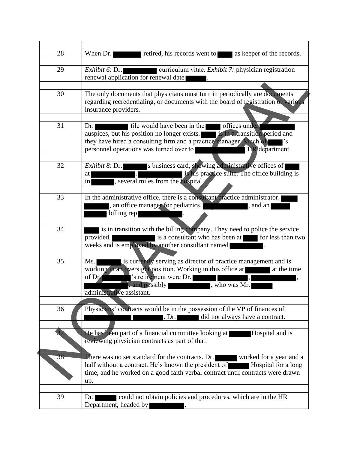| 28 | When Dr.<br>retired, his records went to<br>as keeper of the records.                                                                                                                                                                                   |
|----|---------------------------------------------------------------------------------------------------------------------------------------------------------------------------------------------------------------------------------------------------------|
| 29 | curriculum vitae. <i>Exhibit 7</i> : physician registration<br><i>Exhibit</i> 6: Dr.<br>renewal application for renewal date                                                                                                                            |
|    |                                                                                                                                                                                                                                                         |
| 30 | The only documents that physicians must turn in periodically are documents<br>regarding recredentialing, or documents with the board of registration or various<br>insurance providers.                                                                 |
| 31 | file would have been in the offices under<br>Dr.                                                                                                                                                                                                        |
|    | auspices, but his position no longer exists. <b>Exercía is in a transition period and</b><br>they have hired a consulting firm and a practice manager. Much of<br>$\cdot$ s<br>HR department.<br>personnel operations was turned over to                |
|    |                                                                                                                                                                                                                                                         |
| 32 | s business card, showing administrative offices of<br>Exhibit 8: Dr.<br>is his practice suite. The office building is<br>at<br>, several miles from the hospital.<br>$\frac{1}{2}$                                                                      |
| 33 | In the administrative office, there is a consultant practice administrator,                                                                                                                                                                             |
|    | , an office manager for pediatrics,<br>, and an<br>billing rep                                                                                                                                                                                          |
|    |                                                                                                                                                                                                                                                         |
| 34 | is in transition with the billing company. They need to police the service<br>is a consultant who has been at for less than two<br>provided.<br>weeks and is employed by another consultant named                                                       |
| 35 | is currently serving as director of practice management and is<br>Ms.<br>working in an oversight position. Working in this office at<br>at the time<br>'s retirement were Dr.<br>of Dr.<br>, and possibly<br>, who was Mr.<br>administrative assistant. |
|    |                                                                                                                                                                                                                                                         |
| 36 | Physicians' contracts would be in the possession of the VP of finances of<br>did not always have a contract.<br>. Dr. $\vert$                                                                                                                           |
| 37 | He has been part of a financial committee looking at<br>Hospital and is<br>reviewing physician contracts as part of that.                                                                                                                               |
|    |                                                                                                                                                                                                                                                         |
| 38 | There was no set standard for the contracts. Dr.<br>worked for a year and a<br>half without a contract. He's known the president of<br>Hospital for a long<br>time, and he worked on a good faith verbal contract until contracts were drawn<br>up.     |
|    |                                                                                                                                                                                                                                                         |
| 39 | could not obtain policies and procedures, which are in the HR<br>Dr.<br>Department, headed by                                                                                                                                                           |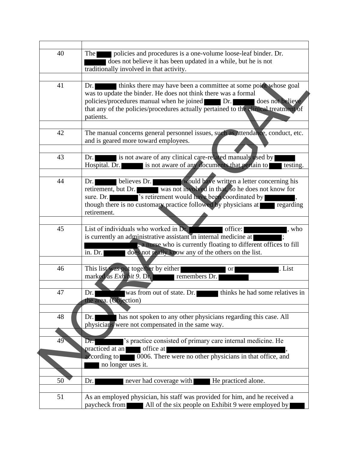| 40 | policies and procedures is a one-volume loose-leaf binder. Dr.<br><b>The</b><br>does not believe it has been updated in a while, but he is not |
|----|------------------------------------------------------------------------------------------------------------------------------------------------|
|    | traditionally involved in that activity.                                                                                                       |
| 41 | thinks there may have been a committee at some point whose goal<br>Dr.                                                                         |
|    | was to update the binder. He does not think there was a formal<br>policies/procedures manual when he joined Dr.<br>does not believe            |
|    | that any of the policies/procedures actually pertained to the clinical treatment of<br>patients.                                               |
|    |                                                                                                                                                |
| 42 | The manual concerns general personnel issues, such as attendance, conduct, etc.<br>and is geared more toward employees.                        |
|    |                                                                                                                                                |
| 43 | is not aware of any clinical care-related manuals used by<br>Dr.<br>is not aware of any documents that pertain to<br>Hospital. Dr.<br>testing. |
|    |                                                                                                                                                |
| 44 | believes Dr. <b>Would have written a letter concerning his</b><br>Dr.                                                                          |
|    | retirement, but Dr. was not involved in that, so he does not know for                                                                          |
|    | 's retirement would have been coordinated by<br>sure. Dr.<br>though there is no customary practice followed by physicians at regarding         |
|    | retirement.                                                                                                                                    |
|    |                                                                                                                                                |
| 45 | List of individuals who worked in Dr.<br>office:<br>, who                                                                                      |
|    | is currently an administrative assistant in internal medicine at                                                                               |
|    | , a nurse who is currently floating to different offices to fill                                                                               |
|    | does not really know any of the others on the list.<br>in. Dr.                                                                                 |
| 46 | This list was put together by either<br>. List<br><b>or</b>                                                                                    |
|    | marked as <i>Exhibit 9</i> . Dr. remembers Dr.                                                                                                 |
|    |                                                                                                                                                |
| 47 | was from out of state. Dr.<br>thinks he had some relatives in<br>Dr.<br>the area. (Objection)                                                  |
|    |                                                                                                                                                |
| 48 | has not spoken to any other physicians regarding this case. All<br>Dr.                                                                         |
|    | physicians were not compensated in the same way.                                                                                               |
|    |                                                                                                                                                |
| 49 | 's practice consisted of primary care internal medicine. He<br>Dr.                                                                             |
|    | office at<br>practiced at an                                                                                                                   |
|    | 0006. There were no other physicians in that office, and<br>according to<br>no longer uses it.                                                 |
|    |                                                                                                                                                |
| 50 | He practiced alone.<br>never had coverage with<br>Dr.                                                                                          |
| 51 | As an employed physician, his staff was provided for him, and he received a                                                                    |
|    | All of the six people on Exhibit 9 were employed by<br>paycheck from                                                                           |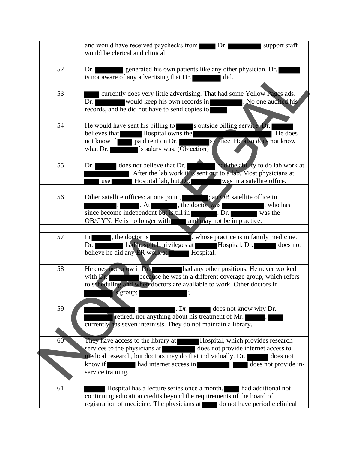|    | and would have received paychecks from Dr.<br>support staff<br>would be clerical and clinical.                                                                                                                                                                                                                                                                                                                                                                   |
|----|------------------------------------------------------------------------------------------------------------------------------------------------------------------------------------------------------------------------------------------------------------------------------------------------------------------------------------------------------------------------------------------------------------------------------------------------------------------|
| 52 | generated his own patients like any other physician. Dr.<br>Dr.<br>is not aware of any advertising that Dr.<br>did.                                                                                                                                                                                                                                                                                                                                              |
| 53 | currently does very little advertising. That had some Yellow Pages ads.<br>would keep his own records in<br>. No one audited his<br>Dr.<br>records, and he did not have to send copies to                                                                                                                                                                                                                                                                        |
| 54 | He would have sent his billing to soutside billing service. Dr.<br>. He does<br>believes that Hospital owns the<br>not know if paid rent on Dr. Soffice. He also does not know<br>'s salary was. (Objection)<br>what Dr.                                                                                                                                                                                                                                         |
| 55 | had the ability to do lab work at<br>does not believe that Dr.<br>Dr.<br>After the lab work it is sent out to a lab. Most physicians at<br>Hospital lab, but Dr. was in a satellite office.<br>use                                                                                                                                                                                                                                                               |
| 56 | Other satellite offices: at one point, <b>and Statellite</b> office in<br>, the doctor was seen to be seen to be seen to be seen to be seen to be a set of the set of the set of the set of the set of the set of the set of the set of the set of the set of the set of the set of the set of the set o<br>$\cdot$ At<br>since become independent but is till in<br>$\overline{\text{Dr.}}$ was the<br>OB/GYN. He is no longer with and may not be in practice. |
| 57 | , whose practice is in family medicine.<br>In the doctor is<br>had hospital privileges at Hospital. Dr. does not<br>Dr.<br>believe he did any ER work at <b>Hospital</b> .                                                                                                                                                                                                                                                                                       |
| 58 | He does not know if Dr. had any other positions. He never worked<br>with Dr. because he was in a different coverage group, which refers<br>to scheduling and when doctors are available to work. Other doctors in<br>$\sim$ s group:                                                                                                                                                                                                                             |
| 59 | does not know why Dr.<br>. Dr. <br>retired, nor anything about his treatment of Mr.<br>currently has seven internists. They do not maintain a library.                                                                                                                                                                                                                                                                                                           |
| 60 | They have access to the library at <b>Hospital</b> , which provides research<br>does not provide internet access to<br>services to the physicians at<br>medical research, but doctors may do that individually. Dr.<br>does not<br>had internet access in<br>know if<br>does not provide in-<br>service training.                                                                                                                                                |
| 61 | Hospital has a lecture series once a month.<br>had additional not<br>continuing education credits beyond the requirements of the board of<br>registration of medicine. The physicians at do not have periodic clinical                                                                                                                                                                                                                                           |